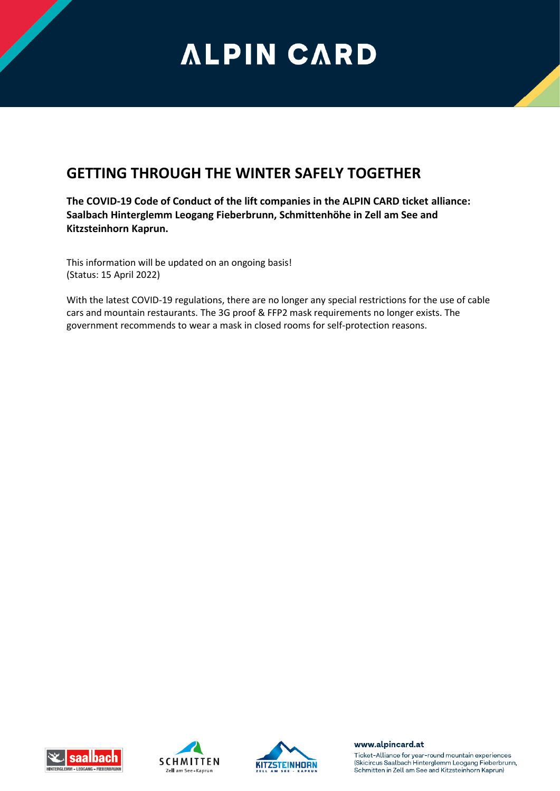## **ALPIN CARD**

## **GETTING THROUGH THE WINTER SAFELY TOGETHER**

**The COVID-19 Code of Conduct of the lift companies in the ALPIN CARD ticket alliance: Saalbach Hinterglemm Leogang Fieberbrunn, Schmittenhöhe in Zell am See and Kitzsteinhorn Kaprun.**

This information will be updated on an ongoing basis! (Status: 15 April 2022)

With the latest COVID-19 regulations, there are no longer any special restrictions for the use of cable cars and mountain restaurants. The 3G proof & FFP2 mask requirements no longer exists. The government recommends to wear a mask in closed rooms for self-protection reasons.







www.alpincard.at

Ticket-Alliance for year-round mountain experiences (Skicircus Saalbach Hinterglemm Leogang Fieberbrunn, Schmitten in Zell am See and Kitzsteinhorn Kaprun)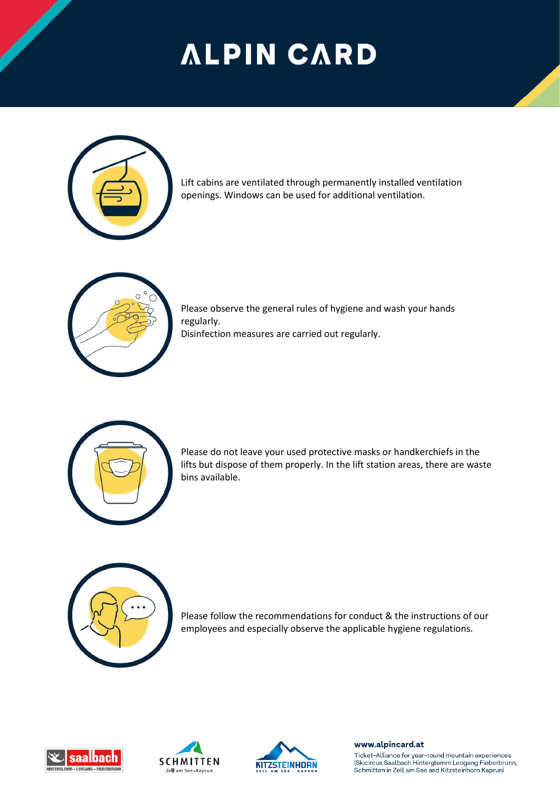## **ALPIN CARD**



Lift cabins are ventilated through permanently installed ventilation openings. Windows can be used for additional ventilation.



Please observe the general rules of hygiene and wash your hands regularly.

Disinfection measures are carried out regularly.



Please do not leave your used protective masks or handkerchiefs in the lifts but dispose of them properly. In the lift station areas, there are waste bins available.



Please follow the recommendations for conduct & the instructions of our employees and especially observe the applicable hygiene regulations.







www.alpincard.at

Ticket-Alliance for year-round mountain experiences (Skicircus Saalbach Hinterglemm Leogang Fieberbrunn, Schmitten in Zell am See and Kitzsteinhorn Kaprun)